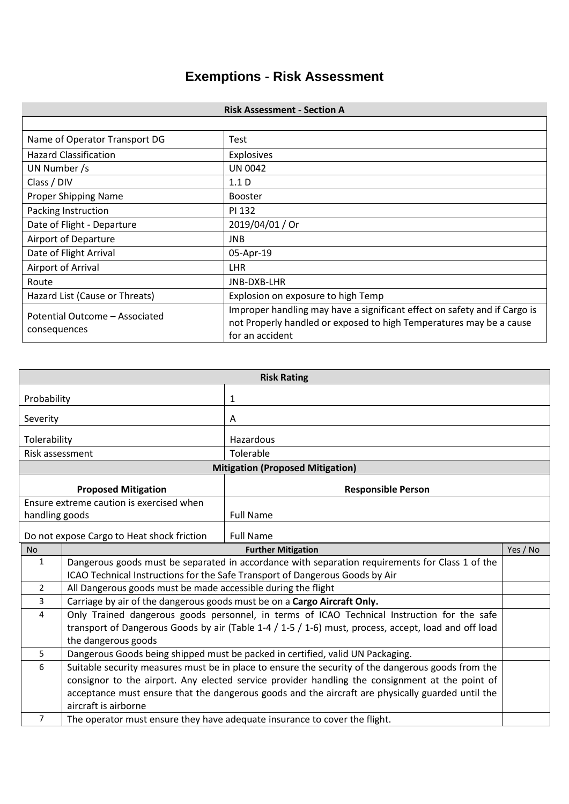## **Exemptions - Risk Assessment**

| <b>Risk Assessment - Section A</b>                                                                                                                                                                                    |                                    |  |  |
|-----------------------------------------------------------------------------------------------------------------------------------------------------------------------------------------------------------------------|------------------------------------|--|--|
|                                                                                                                                                                                                                       |                                    |  |  |
| Name of Operator Transport DG                                                                                                                                                                                         | Test                               |  |  |
| <b>Hazard Classification</b>                                                                                                                                                                                          | <b>Explosives</b>                  |  |  |
| UN Number /s                                                                                                                                                                                                          | <b>UN 0042</b>                     |  |  |
| Class / DIV                                                                                                                                                                                                           | 1.1 <sub>D</sub>                   |  |  |
| Proper Shipping Name                                                                                                                                                                                                  | <b>Booster</b>                     |  |  |
| Packing Instruction                                                                                                                                                                                                   | PI 132                             |  |  |
| Date of Flight - Departure                                                                                                                                                                                            | 2019/04/01 / Or                    |  |  |
| Airport of Departure                                                                                                                                                                                                  | <b>JNB</b>                         |  |  |
| Date of Flight Arrival                                                                                                                                                                                                | 05-Apr-19                          |  |  |
| Airport of Arrival                                                                                                                                                                                                    | <b>LHR</b>                         |  |  |
| Route                                                                                                                                                                                                                 | JNB-DXB-LHR                        |  |  |
| Hazard List (Cause or Threats)                                                                                                                                                                                        | Explosion on exposure to high Temp |  |  |
| Improper handling may have a significant effect on safety and if Cargo is<br>Potential Outcome - Associated<br>not Properly handled or exposed to high Temperatures may be a cause<br>consequences<br>for an accident |                                    |  |  |

| <b>Risk Rating</b>                                             |                                                                                                      |                                                                            |          |  |
|----------------------------------------------------------------|------------------------------------------------------------------------------------------------------|----------------------------------------------------------------------------|----------|--|
| Probability                                                    |                                                                                                      | 1                                                                          |          |  |
| Severity                                                       |                                                                                                      | A                                                                          |          |  |
| Tolerability                                                   |                                                                                                      | Hazardous                                                                  |          |  |
| Risk assessment                                                |                                                                                                      | Tolerable                                                                  |          |  |
|                                                                | <b>Mitigation (Proposed Mitigation)</b>                                                              |                                                                            |          |  |
|                                                                | <b>Proposed Mitigation</b><br><b>Responsible Person</b>                                              |                                                                            |          |  |
|                                                                | Ensure extreme caution is exercised when                                                             |                                                                            |          |  |
| handling goods                                                 |                                                                                                      | <b>Full Name</b>                                                           |          |  |
| Do not expose Cargo to Heat shock friction<br><b>Full Name</b> |                                                                                                      |                                                                            |          |  |
| <b>No</b>                                                      |                                                                                                      | <b>Further Mitigation</b>                                                  | Yes / No |  |
| $\mathbf{1}$                                                   | Dangerous goods must be separated in accordance with separation requirements for Class 1 of the      |                                                                            |          |  |
|                                                                | ICAO Technical Instructions for the Safe Transport of Dangerous Goods by Air                         |                                                                            |          |  |
| $\overline{2}$                                                 | All Dangerous goods must be made accessible during the flight                                        |                                                                            |          |  |
| $\overline{3}$                                                 | Carriage by air of the dangerous goods must be on a Cargo Aircraft Only.                             |                                                                            |          |  |
| $\overline{4}$                                                 | Only Trained dangerous goods personnel, in terms of ICAO Technical Instruction for the safe          |                                                                            |          |  |
|                                                                | transport of Dangerous Goods by air (Table 1-4 / 1-5 / 1-6) must, process, accept, load and off load |                                                                            |          |  |
|                                                                | the dangerous goods                                                                                  |                                                                            |          |  |
| 5                                                              | Dangerous Goods being shipped must be packed in certified, valid UN Packaging.                       |                                                                            |          |  |
| 6                                                              | Suitable security measures must be in place to ensure the security of the dangerous goods from the   |                                                                            |          |  |
|                                                                | consignor to the airport. Any elected service provider handling the consignment at the point of      |                                                                            |          |  |
|                                                                | acceptance must ensure that the dangerous goods and the aircraft are physically guarded until the    |                                                                            |          |  |
|                                                                | aircraft is airborne                                                                                 |                                                                            |          |  |
| $\overline{7}$                                                 |                                                                                                      | The operator must ensure they have adequate insurance to cover the flight. |          |  |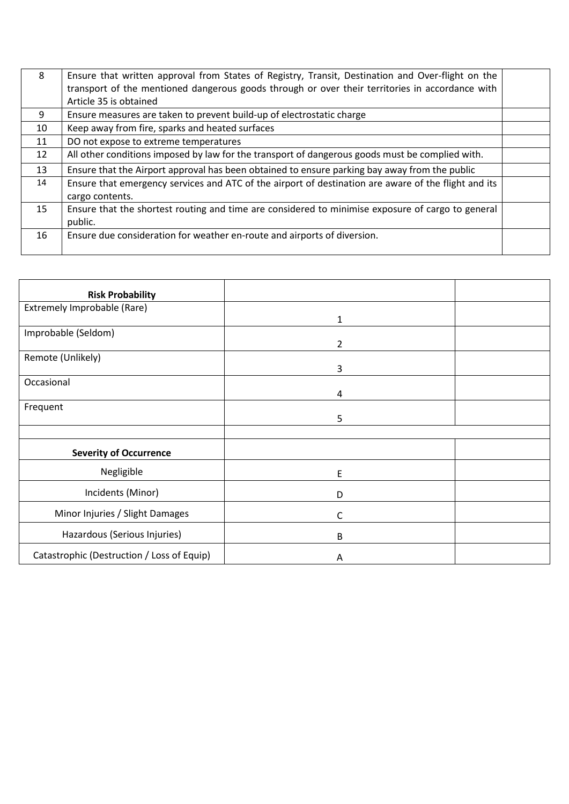| 8  | Ensure that written approval from States of Registry, Transit, Destination and Over-flight on the<br>transport of the mentioned dangerous goods through or over their territories in accordance with<br>Article 35 is obtained |  |
|----|--------------------------------------------------------------------------------------------------------------------------------------------------------------------------------------------------------------------------------|--|
| 9  | Ensure measures are taken to prevent build-up of electrostatic charge                                                                                                                                                          |  |
| 10 | Keep away from fire, sparks and heated surfaces                                                                                                                                                                                |  |
| 11 | DO not expose to extreme temperatures                                                                                                                                                                                          |  |
| 12 | All other conditions imposed by law for the transport of dangerous goods must be complied with.                                                                                                                                |  |
| 13 | Ensure that the Airport approval has been obtained to ensure parking bay away from the public                                                                                                                                  |  |
| 14 | Ensure that emergency services and ATC of the airport of destination are aware of the flight and its<br>cargo contents.                                                                                                        |  |
| 15 | Ensure that the shortest routing and time are considered to minimise exposure of cargo to general<br>public.                                                                                                                   |  |
| 16 | Ensure due consideration for weather en-route and airports of diversion.                                                                                                                                                       |  |

| <b>Risk Probability</b>                    |   |  |
|--------------------------------------------|---|--|
| Extremely Improbable (Rare)                |   |  |
|                                            | 1 |  |
| Improbable (Seldom)                        |   |  |
|                                            | 2 |  |
| Remote (Unlikely)                          |   |  |
|                                            | 3 |  |
| Occasional                                 |   |  |
|                                            | 4 |  |
| Frequent                                   |   |  |
|                                            | 5 |  |
|                                            |   |  |
| <b>Severity of Occurrence</b>              |   |  |
| Negligible                                 | E |  |
| Incidents (Minor)                          | D |  |
| Minor Injuries / Slight Damages            | С |  |
| Hazardous (Serious Injuries)               | В |  |
| Catastrophic (Destruction / Loss of Equip) | A |  |